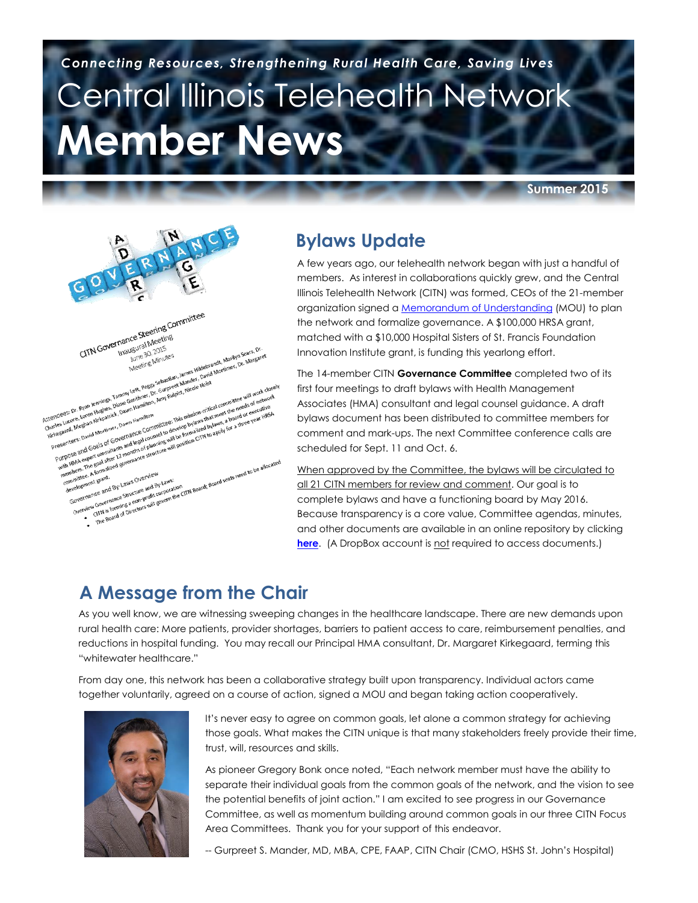# Central Illinois Telehealth Network **Member News**  *Connecting Resources, Strengthening Rural Health Care, Saving Lives*

**Summer 2015**



#### **Bylaws Update**

A few years ago, our telehealth network began with just a handful of members. As interest in collaborations quickly grew, and the Central [Illino](https://www.dropbox.com/sh/j44h6wg9ojmx5k5/AAC8kDoibexBHcvUgZO1oXyEa?dl=0)is Telehealth Network (CITN) was formed, CEOs of the 21-member organization signed a **Memorandum of Understanding (MOU)** to plan the network and formalize governance. A \$100,000 HRSA grant, matched with a \$10,000 Hospital Sisters of St. Francis Foundation Innovation Institute grant, is funding this yearlong effort.

The 14-member CITN **Governance Committee** completed two of its first four meetings to draft bylaws with Health Management Associates (HMA) consultant and legal counsel guidance. A draft bylaws document has been distributed to committee members for comment and mark-ups. The next Committee conference calls are scheduled for Sept. 11 and Oct. 6.

When approved by the Committee, the bylaws will be circulated to all 21 CITN members for review and comment. Our goal is to complete bylaws and have a functioning board by May 2016. Because transparency is a core value, Committee agendas, minutes, and other documents are available in an online repository by clicking **[here](https://www.dropbox.com/sh/j44h6wg9ojmx5k5/AAC8kDoibexBHcvUgZO1oXyEa?dl=0)**. (A DropBox account is not required to access documents.)

# **A Message from the Chair**

As you well know, we are witnessing sweeping changes in the healthcare landscape. There are new demands upon rural health care: More patients, provider shortages, barriers to patient access to care, reimbursement penalties, and reductions in hospital funding. You may recall our Principal HMA consultant, Dr. Margaret Kirkegaard, terming this "whitewater healthcare."

From day one, this network has been a collaborative strategy built upon transparency. Individual actors came together voluntarily, agreed on a course of action, signed a MOU and began taking action cooperatively.



It's never easy to agree on common goals, let alone a common strategy for achieving those goals. What makes the CITN unique is that many stakeholders freely provide their time, trust, will, resources and skills.

As pioneer Gregory Bonk once noted, "Each network member must have the ability to separate their individual goals from the common goals of the network, and the vision to see the potential benefits of joint action." I am excited to see progress in our Governance Committee, as well as momentum building around common goals in our three CITN Focus Area Committees. Thank you for your support of this endeavor.

-- Gurpreet S. Mander, MD, MBA, CPE, FAAP, CITN Chair (CMO, HSHS St. John's Hospital)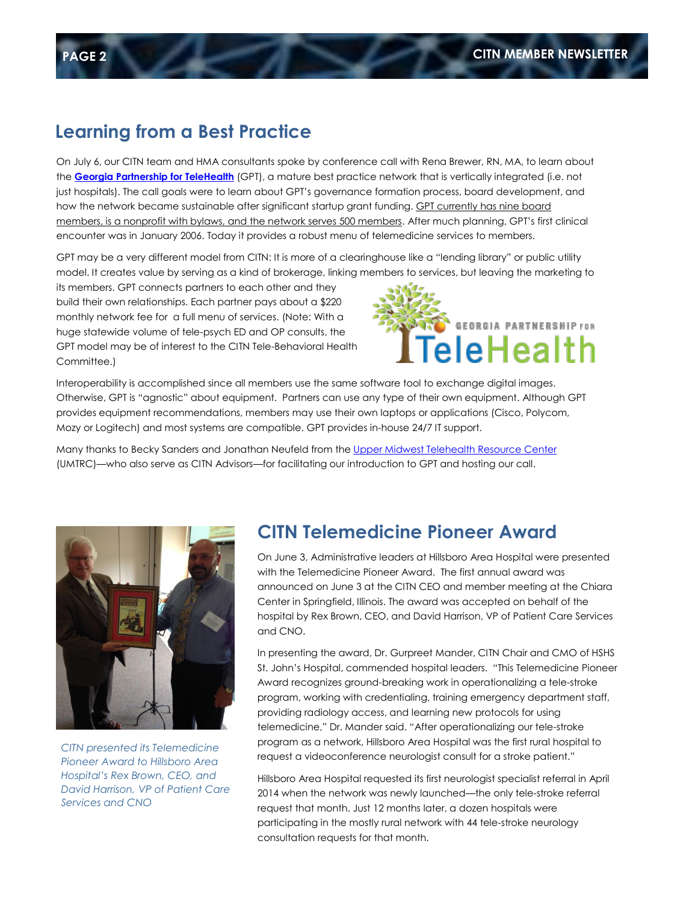#### **Learning from a Best Practice**

On July 6, our CITN team and HMA consultants spoke by conference call with Rena Brewer, RN, MA, to learn about the **[Georgia Partnership for TeleHealth](http://www.gatelehealth.org/index.php/about/about-gpt/)** (GPT), a mature best practice network that is vertically integrated (i.e. not just hospitals). The call goals were to learn about GPT's governance formation process, board development, and how the network became sustainable after significant startup grant funding. GPT currently has nine board members, is a nonprofit with bylaws, and the network serves 500 members. After much planning, GPT's first clinical encounter was in January 2006. Today it provides a robust menu of telemedicine services to members.

GPT may be a very different model from CITN: It is more of a clearinghouse like a "lending library" or public utility model. It creates value by serving as a kind of brokerage, linking members to services, but leaving the marketing to

its members. GPT connects partners to each other and they build their own relationships. Each partner pays about a \$220 monthly network fee for a full menu of services. (Note: With a huge statewide volume of tele-psych ED and OP consults, the GPT model may be of interest to the CITN Tele-Behavioral Health Committee.)



Interoperability is accomplished since all members use the same software tool to exchange digital images. Otherwise, GPT is "agnostic" about equipment. Partners can use any type of their own equipment. Although GPT provides equipment recommendations, members may use their own laptops or applications (Cisco, Polycom, Mozy or Logitech) and most systems are compatible. GPT provides in-house 24/7 IT support.

Many thanks to Becky Sanders and Jonathan Neufeld from the [Upper Midwest Telehealth Resource Center](http://www.umtrc.org/) (UMTRC)—who also serve as CITN Advisors—for facilitating our introduction to GPT and hosting our call.



*CITN presented its Telemedicine Pioneer Award to Hillsboro Area Hospital's Rex Brown, CEO, and David Harrison, VP of Patient Care Services and CNO*

#### **CITN Telemedicine Pioneer Award**

On June 3, Administrative leaders at Hillsboro Area Hospital were presented with the Telemedicine Pioneer Award. The first annual award was announced on June 3 at the CITN CEO and member meeting at the Chiara Center in Springfield, Illinois. The award was accepted on behalf of the hospital by Rex Brown, CEO, and David Harrison, VP of Patient Care Services and CNO.

In presenting the award, Dr. Gurpreet Mander, CITN Chair and CMO of HSHS St. John's Hospital, commended hospital leaders. "This Telemedicine Pioneer Award recognizes ground-breaking work in operationalizing a tele-stroke program, working with credentialing, training emergency department staff, providing radiology access, and learning new protocols for using telemedicine," Dr. Mander said. "After operationalizing our tele-stroke program as a network, Hillsboro Area Hospital was the first rural hospital to request a videoconference neurologist consult for a stroke patient."

Hillsboro Area Hospital requested its first neurologist specialist referral in April 2014 when the network was newly launched—the only tele-stroke referral request that month. Just 12 months later, a dozen hospitals were participating in the mostly rural network with 44 tele-stroke neurology consultation requests for that month.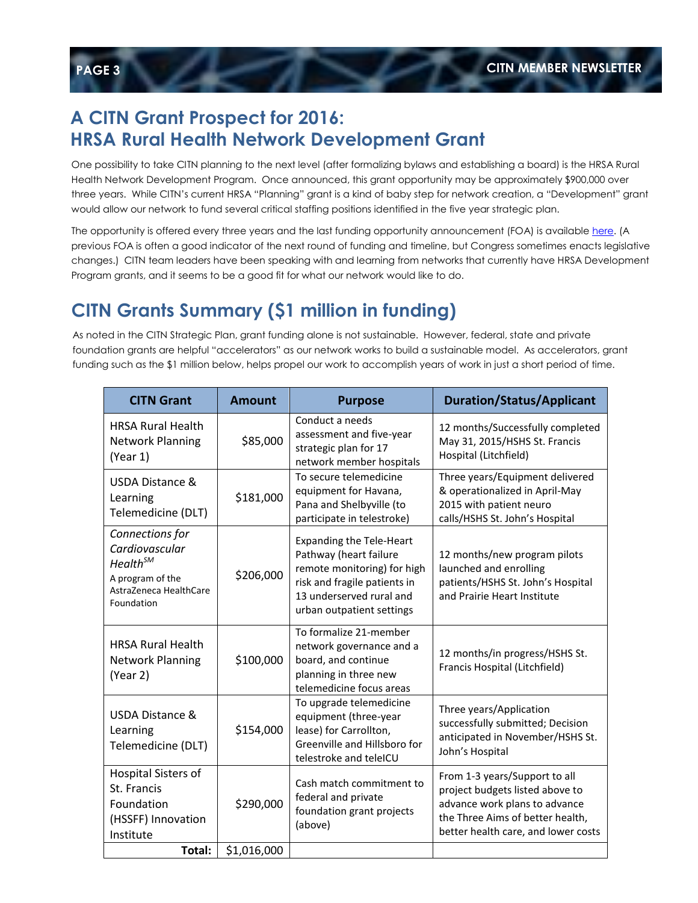#### **A CITN Grant Prospect for 2016: HRSA Rural Health Network Development Grant**

One possibility to take CITN planning to the next level (after formalizing bylaws and establishing a board) is the HRSA Rural Health Network Development Program. Once announced, this grant opportunity may be approximately \$900,000 over three years. While CITN's current HRSA "Planning" grant is a kind of baby step for network creation, a "Development" grant would allow our network to fund several critical staffing positions identified in the five year strategic plan.

The opportunity is offered every three years and the last funding opportunity announcement (FOA) is availabl[e here.](https://www.dropbox.com/s/phjdzhdeac48jw3/Old%20HRSA%20RHND%20Development%20FOA%20%28FY%202013%29.pdf?dl=0) (A previous FOA is often a good indicator of the next round of funding and timeline, but Congress sometimes enacts legislative changes.) CITN team leaders have been speaking with and learning from networks that currently have HRSA Development Program grants, and it seems to be a good fit for what our network would like to do.

# **CITN Grants Summary (\$1 million in funding)**

As noted in the CITN Strategic Plan, grant funding alone is not sustainable. However, federal, state and private foundation grants are helpful "accelerators" as our network works to build a sustainable model. As accelerators, grant funding such as the \$1 million below, helps propel our work to accomplish years of work in just a short period of time.

| <b>CITN Grant</b>                                                                                                     | <b>Amount</b> | <b>Purpose</b>                                                                                                                                                                    | <b>Duration/Status/Applicant</b>                                                                                                                                             |
|-----------------------------------------------------------------------------------------------------------------------|---------------|-----------------------------------------------------------------------------------------------------------------------------------------------------------------------------------|------------------------------------------------------------------------------------------------------------------------------------------------------------------------------|
| <b>HRSA Rural Health</b><br><b>Network Planning</b><br>(Year 1)                                                       | \$85,000      | Conduct a needs<br>assessment and five-year<br>strategic plan for 17<br>network member hospitals                                                                                  | 12 months/Successfully completed<br>May 31, 2015/HSHS St. Francis<br>Hospital (Litchfield)                                                                                   |
| USDA Distance &<br>Learning<br>Telemedicine (DLT)                                                                     | \$181,000     | To secure telemedicine<br>equipment for Havana,<br>Pana and Shelbyville (to<br>participate in telestroke)                                                                         | Three years/Equipment delivered<br>& operationalized in April-May<br>2015 with patient neuro<br>calls/HSHS St. John's Hospital                                               |
| Connections for<br>Cardiovascular<br>Health <sup>SM</sup><br>A program of the<br>AstraZeneca HealthCare<br>Foundation | \$206,000     | <b>Expanding the Tele-Heart</b><br>Pathway (heart failure<br>remote monitoring) for high<br>risk and fragile patients in<br>13 underserved rural and<br>urban outpatient settings | 12 months/new program pilots<br>launched and enrolling<br>patients/HSHS St. John's Hospital<br>and Prairie Heart Institute                                                   |
| <b>HRSA Rural Health</b><br><b>Network Planning</b><br>(Year 2)                                                       | \$100,000     | To formalize 21-member<br>network governance and a<br>board, and continue<br>planning in three new<br>telemedicine focus areas                                                    | 12 months/in progress/HSHS St.<br>Francis Hospital (Litchfield)                                                                                                              |
| USDA Distance &<br>Learning<br>Telemedicine (DLT)                                                                     | \$154,000     | To upgrade telemedicine<br>equipment (three-year<br>lease) for Carrollton,<br>Greenville and Hillsboro for<br>telestroke and teleICU                                              | Three years/Application<br>successfully submitted; Decision<br>anticipated in November/HSHS St.<br>John's Hospital                                                           |
| Hospital Sisters of<br>St. Francis<br>Foundation<br>(HSSFF) Innovation<br>Institute                                   | \$290,000     | Cash match commitment to<br>federal and private<br>foundation grant projects<br>(above)                                                                                           | From 1-3 years/Support to all<br>project budgets listed above to<br>advance work plans to advance<br>the Three Aims of better health,<br>better health care, and lower costs |
| Total:                                                                                                                | \$1,016,000   |                                                                                                                                                                                   |                                                                                                                                                                              |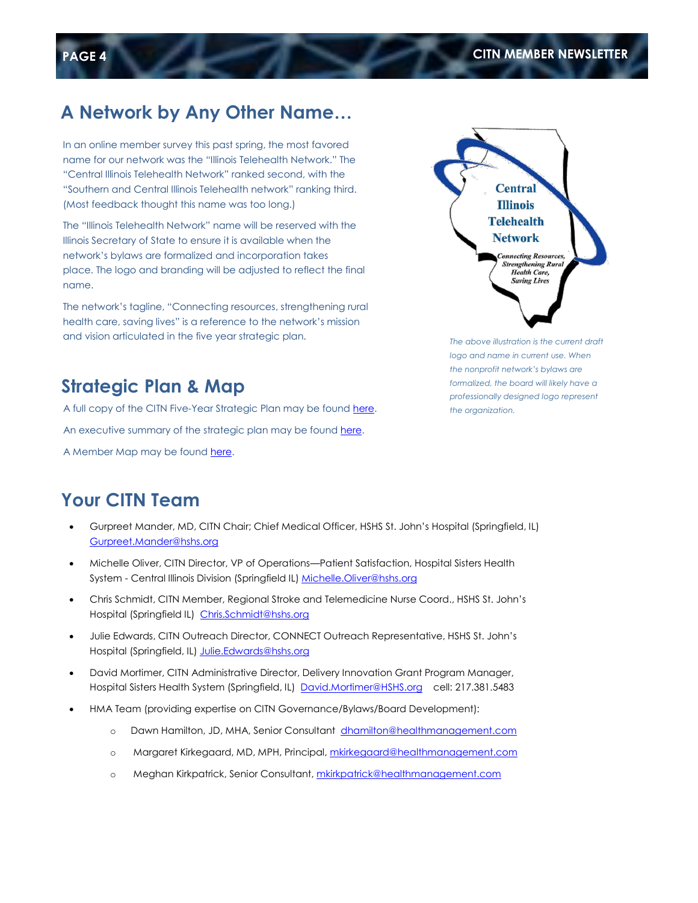# **A Network by Any Other Name…**

In an online member survey this past spring, the most favored name for our network was the "Illinois Telehealth Network." The "Central Illinois Telehealth Network" ranked second, with the "Southern and Central Illinois Telehealth network" ranking third. (Most feedback thought this name was too long.)

The "Illinois Telehealth Network" name will be reserved with the Illinois Secretary of State to ensure it is available when the network's bylaws are formalized and incorporation takes place. The logo and branding will be adjusted to reflect the final name.

The network's tagline, "Connecting resources, strengthening rural health care, saving lives" is a reference to the network's mission and vision articulated in the five year strategic plan.



*The above illustration is the current draft logo and name in current use. When the nonprofit network's bylaws are formalized, the board will likely have a professionally designed logo represent the organization.*

#### **Strategic Plan & Map**

A full copy of the CITN Five-Year Strategic Plan may be foun[d here.](https://www.dropbox.com/s/0x2igbbto3fb6ug/FINAL%20Telehealth%20Network%20Strategic%20Plan%20%2805-01-2015%29.pdf?dl=0)  An executive summary of the strategic plan may be found [here.](https://www.dropbox.com/s/4r8gbmnvijszgrj/Exec.%20Summary-Telehealth%20Network%20Strategic%20Plan%20%2805-01-2015%29.pdf?dl=0) 

A Member Map may be foun[d here.](https://www.dropbox.com/s/6w0ev0llo245d96/CITN%20Map%20%282015-2016%29.pdf?dl=0)

#### **Your CITN Team**

- Gurpreet Mander, MD, CITN Chair; Chief Medical Officer, HSHS St. John's Hospital (Springfield, IL) [Gurpreet.Mander@hshs.org](mailto:Gurpreet.Mander@hshs.org)
- Michelle Oliver, CITN Director, VP of Operations—Patient Satisfaction, Hospital Sisters Health System - Central Illinois Division (Springfield IL) [Michelle.Oliver@hshs.org](mailto:Michelle.Oliver@hshs.org)
- Chris Schmidt, CITN Member, Regional Stroke and Telemedicine Nurse Coord., HSHS St. John's Hospital (Springfield IL) [Chris.Schmidt@hshs.org](mailto:Chris.Schmidt@hshs.org)
- Julie Edwards, CITN Outreach Director, CONNECT Outreach Representative, HSHS St. John's Hospital (Springfield, IL[\) Julie.Edwards@hshs.org](mailto:Julie.Edwards@hshs.org)
- David Mortimer, CITN Administrative Director, Delivery Innovation Grant Program Manager, Hospital Sisters Health System (Springfield, IL) [David.Mortimer@HSHS.org](mailto:David.Mortimer@HSHS.org) cell: 217.381.5483
- HMA Team (providing expertise on CITN Governance/Bylaws/Board Development):
	- o Dawn Hamilton, JD, MHA, Senior Consultant dhamilton@healthmanagement.com
	- o Margaret Kirkegaard, MD, MPH, Principal[, mkirkegaard@healthmanagement.com](mailto:mkirkegaard@healthmanagement.com)
	- o Meghan Kirkpatrick, Senior Consultant, [mkirkpatrick@healthmanagement.com](mailto:mkirkpatrick@healthmanagement.com)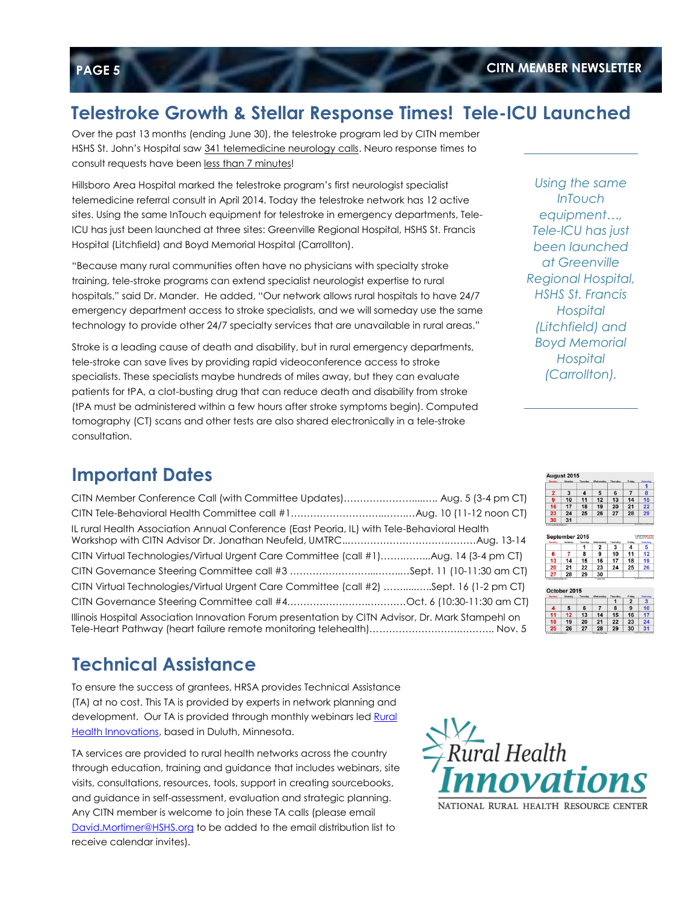#### **Telestroke Growth & Stellar Response Times! Tele-ICU Launched**

Over the past 13 months (ending June 30), the telestroke program led by CITN member HSHS St. John's Hospital saw 341 telemedicine neurology calls. Neuro response times to consult requests have been less than 7 minutes!

Hillsboro Area Hospital marked the telestroke program's first neurologist specialist telemedicine referral consult in April 2014. Today the telestroke network has 12 active sites. Using the same InTouch equipment for telestroke in emergency departments, Tele-ICU has just been launched at three sites: Greenville Regional Hospital, HSHS St. Francis Hospital (Litchfield) and Boyd Memorial Hospital (Carrollton).

"Because many rural communities often have no physicians with specialty stroke training, tele-stroke programs can extend specialist neurologist expertise to rural hospitals," said Dr. Mander. He added, "Our network allows rural hospitals to have 24/7 emergency department access to stroke specialists, and we will someday use the same technology to provide other 24/7 specialty services that are unavailable in rural areas."

Stroke is a leading cause of death and disability, but in rural emergency departments, tele-stroke can save lives by providing rapid videoconference access to stroke specialists. These specialists maybe hundreds of miles away, but they can evaluate patients for tPA, a clot-busting drug that can reduce death and disability from stroke (tPA must be administered within a few hours after stroke symptoms begin). Computed tomography (CT) scans and other tests are also shared electronically in a tele-stroke consultation.

#### **Important Dates**

| CITN Member Conference Call (with Committee Updates) Aug. 5 (3-4 pm CT)                           |  |
|---------------------------------------------------------------------------------------------------|--|
|                                                                                                   |  |
| IL rural Health Association Annual Conference (East Peoria, IL) with Tele-Behavioral Health       |  |
| CITN Virtual Technologies/Virtual Urgent Care Committee (call #1)Aug. 14 (3-4 pm CT)              |  |
|                                                                                                   |  |
| CITN Virtual Technologies/Virtual Urgent Care Committee (call #2) Sept. 16 (1-2 pm CT)            |  |
|                                                                                                   |  |
| Illinois Hospital Association Innovation Forum presentation by CITN Advisor, Dr. Mark Stampehl on |  |

# **Technical Assistance**

To ensure the success of grantees, HRSA provides Technical Assistance (TA) at no cost. This TA is provided by experts in network planning and development. Our TA is provided through monthly webinars led Rural [Health Innovations,](https://www.ruralcenter.org/rhi/network-ta) based in Duluth, Minnesota.

TA services are provided to rural health networks across the country through education, training and guidance that includes webinars, site visits, consultations, resources, tools, support in creating sourcebooks, and guidance in self-assessment, evaluation and strategic planning. Any CITN member is welcome to join these TA calls (please email [David.Mortimer@HSHS.org](mailto:David.Mortimer@HSHS.org) to be added to the email distribution list to receive calendar invites).



*Using the same InTouch equipment…, Tele-ICU has just been launched at Greenville Regional Hospital, HSHS St. Francis Hospital (Litchfield) and Boyd Memorial Hospital (Carrollton).*

| $\overline{2}$ | 3  | $\boldsymbol{4}$ | 5  | 6  | 7  | 8                |
|----------------|----|------------------|----|----|----|------------------|
| 9              | 10 | 11               | 12 | 13 | 14 | 15               |
| 16             | 17 | 18               | 19 | 20 | 21 | 22               |
| 23             | 24 | 25               | 26 | 27 | 28 | 29               |
| 30             | 31 |                  |    |    |    | <b>BERTHERED</b> |

|        |                        |         | 2                | з        | 4              | 5        |
|--------|------------------------|---------|------------------|----------|----------------|----------|
| 6      | 7                      | 8       | 9                | 10       | 11             | 12       |
| 13     | 14                     | 15      | 16               | 17       | 18             | 19       |
| 20     | 21                     | 22      | 23               | 24       | 25             | 26       |
| 27     | 28                     | 29      | 30               |          |                |          |
|        |                        |         |                  |          |                |          |
| Sunday | October 2015<br>Monday | Tuesday | <b>Wednesday</b> | Thursday | Friday         | Saturday |
|        |                        |         |                  |          | $\overline{2}$ | 3        |
| 4      | 5                      | 6       |                  | 8        | 9              | 10       |
| 11     | 12                     | 13      | 14               | 15       | 16             | 17       |
| 18     | 19                     | 20      | 21               | 22       | 23             | 24       |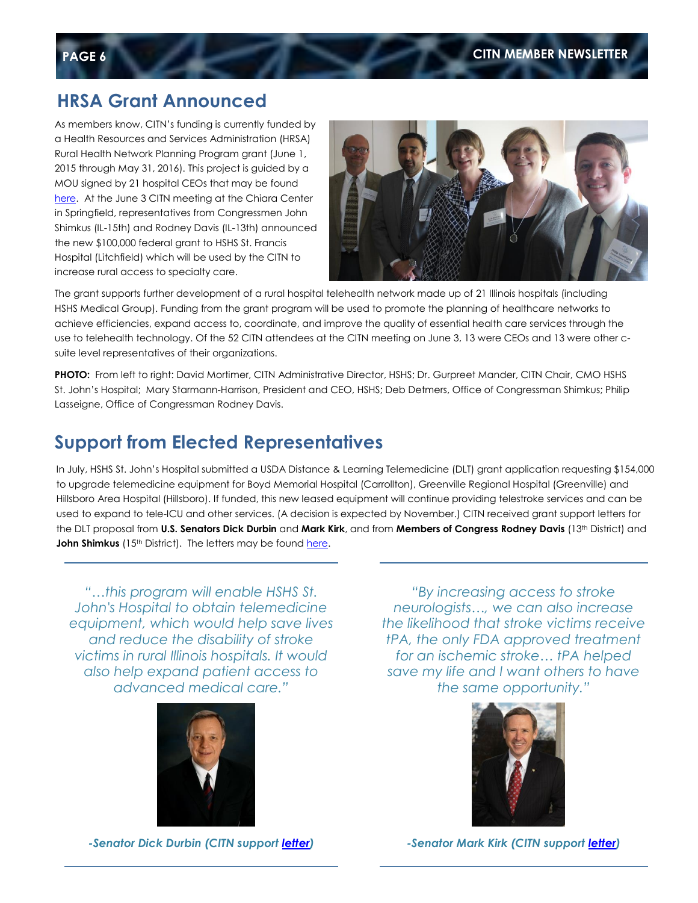#### **HRSA Grant Announced**

As members know, CITN's funding is currently funded by a Health Resources and Services Administration (HRSA) Rural Health Network Planning Program grant (June 1, 2015 through May 31, 2016). This project is guided by a MOU signed by 21 hospital CEOs that may be found [here.](https://www.dropbox.com/s/d123koffifhmpus/Map%20%26%20MOU%20%282015-2016%29%20DropBox.pdf?dl=0) At the June 3 CITN meeting at the Chiara Center in Springfield, representatives from Congressmen John Shimkus (IL-15th) and Rodney Davis (IL-13th) announced the new \$100,000 federal grant to HSHS St. Francis Hospital (Litchfield) which will be used by the CITN to increase rural access to specialty care.



The grant supports further development of a rural hospital telehealth network made up of 21 Illinois hospitals (including HSHS Medical Group). Funding from the grant program will be used to promote the planning of healthcare networks to achieve efficiencies, expand access to, coordinate, and improve the quality of essential health care services through the use to telehealth technology. Of the 52 CITN attendees at the CITN meeting on June 3, 13 were CEOs and 13 were other csuite level representatives of their organizations.

**PHOTO:** From left to right: David Mortimer, CITN Administrative Director, HSHS; Dr. Gurpreet Mander, CITN Chair, CMO HSHS St. John's Hospital; Mary Starmann-Harrison, President and CEO, HSHS; Deb Detmers, Office of Congressman Shimkus; Philip Lasseigne, Office of Congressman Rodney Davis.

#### **Support from Elected Representatives**

In July, HSHS St. John's Hospital submitted a USDA Distance & Learning Telemedicine (DLT) grant application requesting \$154,000 to upgrade telemedicine equipment for Boyd Memorial Hospital (Carrollton), Greenville Regional Hospital (Greenville) and Hillsboro Area Hospital (Hillsboro). If funded, this new leased equipment will continue providing telestroke services and can be used to expand to tele-ICU and other services. (A decision is expected by November.) CITN received grant support letters for the DLT proposal from **U.S. Senators Dick Durbin** and **Mark Kirk**, and from **Members of Congress Rodney Davis** (13th District) and **John Shimkus** (15<sup>th</sup> District). The letters may be found [here.](https://www.dropbox.com/sh/02a0ormtsac0mkj/AACa2ZCZYo3PlUMnx7x53mfMa?dl=0)

*"…this program will enable HSHS St. John's Hospital to obtain telemedicine equipment, which would help save lives and reduce the disability of stroke victims in rural Illinois hospitals. It would also help expand patient access to advanced medical care."*



*"By increasing access to stroke neurologists…, we can also increase the likelihood that stroke victims receive tPA, the only FDA approved treatment for an ischemic stroke… tPA helped save my life and I want others to have the same opportunity."*



*-Senator Dick Durbin (CITN support [letter\)](https://www.dropbox.com/s/zyk1hfbj4jss3ck/Sen.%20Durbin.pdf?dl=0)*

*-Senator Mark Kirk (CITN support [letter\)](https://www.dropbox.com/s/f35ly6uik0mfq8m/Sen.%20Kirk.pdf?dl=0)*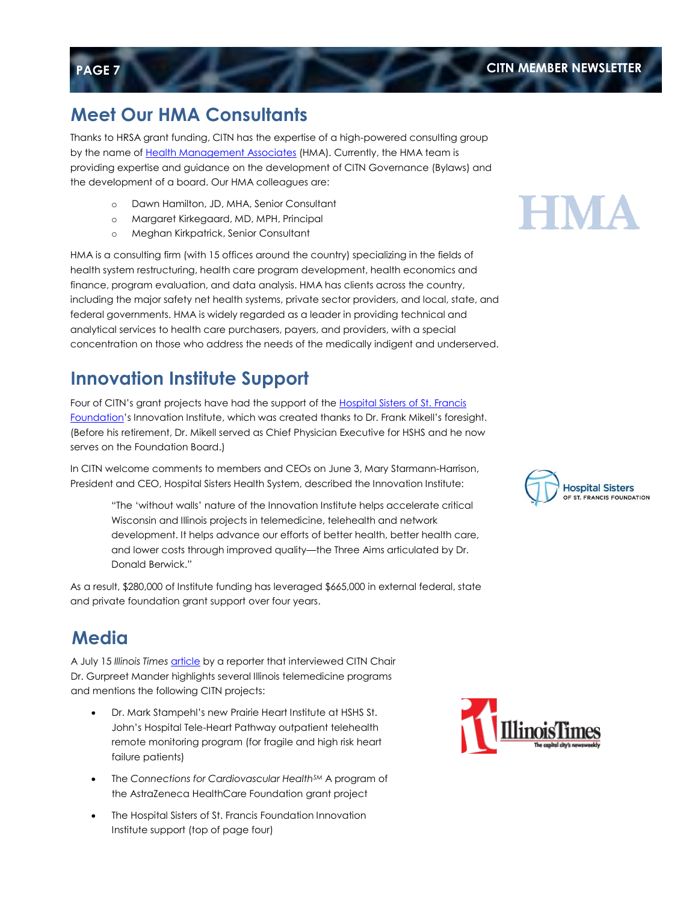## **Meet Our HMA Consultants**

Thanks to HRSA grant funding, CITN has the expertise of a high-powered consulting group by the name of [Health Management Associates](https://www.healthmanagement.com/) (HMA). Currently, the HMA team is providing expertise and guidance on the development of CITN Governance (Bylaws) and the development of a board. Our HMA colleagues are:

- o Dawn Hamilton, JD, MHA, Senior Consultant
- o Margaret Kirkegaard, MD, MPH, Principal
- o Meghan Kirkpatrick, Senior Consultant

HMA is a consulting firm (with 15 offices around the country) specializing in the fields of health system restructuring, health care program development, health economics and finance, program evaluation, and data analysis. HMA has clients across the country, including the major safety net health systems, private sector providers, and local, state, and federal governments. HMA is widely regarded as a leader in providing technical and analytical services to health care purchasers, payers, and providers, with a special concentration on those who address the needs of the medically indigent and underserved.

### **Innovation Institute Support**

Four of CITN's grant projects have had the support of the [Hospital Sisters of St. Francis](https://www.hshs.org/foundation.aspx)  [Foundation](https://www.hshs.org/foundation.aspx)'s Innovation Institute, which was created thanks to Dr. Frank Mikell's foresight. (Before his retirement, Dr. Mikell served as Chief Physician Executive for HSHS and he now serves on the Foundation Board.)

In CITN welcome comments to members and CEOs on June 3, Mary Starmann-Harrison, President and CEO, Hospital Sisters Health System, described the Innovation Institute:

> "The 'without walls' nature of the Innovation Institute helps accelerate critical Wisconsin and Illinois projects in telemedicine, telehealth and network development. It helps advance our efforts of better health, better health care, and lower costs through improved quality—the Three Aims articulated by Dr. Donald Berwick."

As a result, \$280,000 of Institute funding has leveraged \$665,000 in external federal, state and private foundation grant support over four years.

# **Media**

A July 15 Illinois Times **[article](https://www.dropbox.com/s/do8rvioc1pparq9/Illinois%20Times%20July%202015.pdf?dl=0)** by a reporter that interviewed CITN Chair Dr. Gurpreet Mander highlights several Illinois telemedicine programs and mentions the following CITN projects:

- Dr. Mark Stampehl's new Prairie Heart Institute at HSHS St. John's Hospital Tele-Heart Pathway outpatient telehealth remote monitoring program (for fragile and high risk heart failure patients)
- The *Connections for Cardiovascular HealthSM* A program of the AstraZeneca HealthCare Foundation grant project
- The Hospital Sisters of St. Francis Foundation Innovation Institute support (top of page four)